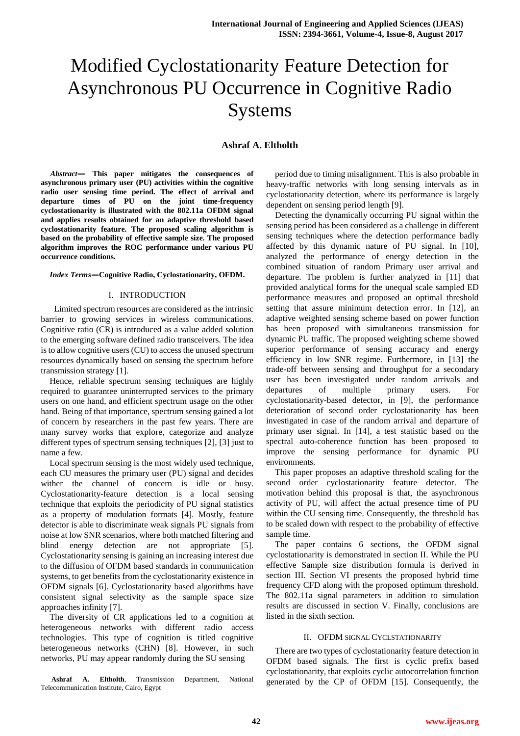# Modified Cyclostationarity Feature Detection for Asynchronous PU Occurrence in Cognitive Radio Systems

# **Ashraf A. Eltholth**

*Abstract***— This paper mitigates the consequences of asynchronous primary user (PU) activities within the cognitive radio user sensing time period. The effect of arrival and departure times of PU on the joint time-frequency cyclostationarity is illustrated with the 802.11a OFDM signal and applies results obtained for an adaptive threshold based cyclostationarity feature. The proposed scaling algorithm is based on the probability of effective sample size. The proposed algorithm improves the ROC performance under various PU occurrence conditions.**

#### *Index Terms***—Cognitive Radio, Cyclostationarity, OFDM.**

## I. INTRODUCTION

Limited spectrum resources are considered as the intrinsic barrier to growing services in wireless communications. Cognitive ratio (CR) is introduced as a value added solution to the emerging software defined radio transceivers. The idea is to allow cognitive users (CU) to access the unused spectrum resources dynamically based on sensing the spectrum before transmission strategy [1].

Hence, reliable spectrum sensing techniques are highly required to guarantee uninterrupted services to the primary users on one hand, and efficient spectrum usage on the other hand. Being of that importance, spectrum sensing gained a lot of concern by researchers in the past few years. There are many survey works that explore, categorize and analyze different types of spectrum sensing techniques [2], [3] just to name a few.

Local spectrum sensing is the most widely used technique, each CU measures the primary user (PU) signal and decides wither the channel of concern is idle or busy. Cyclostationarity-feature detection is a local sensing technique that exploits the periodicity of PU signal statistics as a property of modulation formats [4]. Mostly, feature detector is able to discriminate weak signals PU signals from noise at low SNR scenarios, where both matched filtering and blind energy detection are not appropriate [5]. Cyclostationarity sensing is gaining an increasing interest due to the diffusion of OFDM based standards in communication systems, to get benefits from the cyclostationarity existence in OFDM signals [6]. Cyclostationarity based algorithms have consistent signal selectivity as the sample space size approaches infinity [7].

The diversity of CR applications led to a cognition at heterogeneous networks with different radio access technologies. This type of cognition is titled cognitive heterogeneous networks (CHN) [8]. However, in such networks, PU may appear randomly during the SU sensing

**Ashraf A. Eltholth**, Transmission Department, National Telecommunication Institute, Cairo, Egypt

period due to timing misalignment. This is also probable in heavy-traffic networks with long sensing intervals as in cyclostationarity detection, where its performance is largely dependent on sensing period length [9].

Detecting the dynamically occurring PU signal within the sensing period has been considered as a challenge in different sensing techniques where the detection performance badly affected by this dynamic nature of PU signal. In [10], analyzed the performance of energy detection in the combined situation of random Primary user arrival and departure. The problem is further analyzed in [11] that provided analytical forms for the unequal scale sampled ED performance measures and proposed an optimal threshold setting that assure minimum detection error. In [12], an adaptive weighted sensing scheme based on power function has been proposed with simultaneous transmission for dynamic PU traffic. The proposed weighting scheme showed superior performance of sensing accuracy and energy efficiency in low SNR regime. Furthermore, in [13] the trade-off between sensing and throughput for a secondary user has been investigated under random arrivals and departures of multiple primary users. For cyclostationarity-based detector, in [9], the performance deterioration of second order cyclostationarity has been investigated in case of the random arrival and departure of primary user signal. In [14], a test statistic based on the spectral auto-coherence function has been proposed to improve the sensing performance for dynamic PU environments.

This paper proposes an adaptive threshold scaling for the second order cyclostationarity feature detector. The motivation behind this proposal is that, the asynchronous activity of PU, will affect the actual presence time of PU within the CU sensing time. Consequently, the threshold has to be scaled down with respect to the probability of effective sample time.

The paper contains 6 sections, the OFDM signal cyclostationarity is demonstrated in section II. While the PU effective Sample size distribution formula is derived in section III. Section VI presents the proposed hybrid time frequency CFD along with the proposed optimum threshold. The 802.11a signal parameters in addition to simulation results are discussed in section V. Finally, conclusions are listed in the sixth section.

## II. OFDM SIGNAL CYCLSTATIONARITY

There are two types of cyclostationarity feature detection in OFDM based signals. The first is cyclic prefix based cyclostationarity, that exploits cyclic autocorrelation function generated by the CP of OFDM [15]. Consequently, the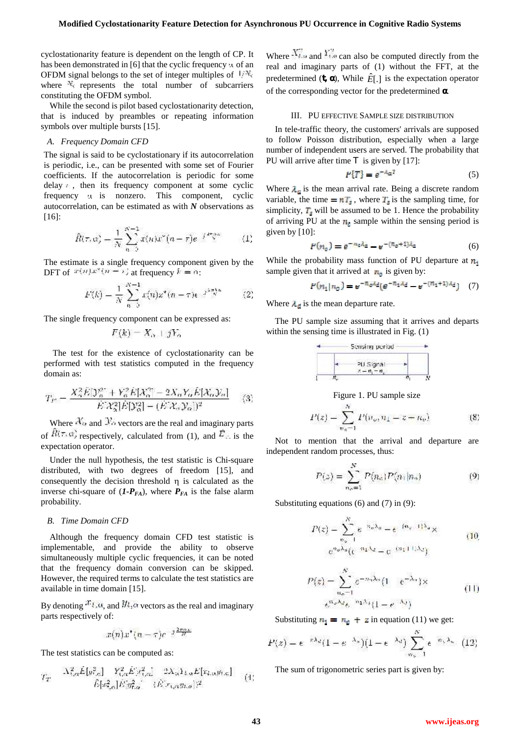cyclostationarity feature is dependent on the length of CP. It has been demonstrated in  $[6]$  that the cyclic frequency  $\mu$  of an OFDM signal belongs to the set of integer multiples of  $\mathbb{W}_s$ . where  $\mathbb{N}_s$  represents the total number of subcarriers constituting the OFDM symbol.

While the second is pilot based cyclostationarity detection, that is induced by preambles or repeating information symbols over multiple bursts [15].

#### *A. Frequency Domain CFD*

The signal is said to be cyclostationary if its autocorrelation is periodic, i.e., can be presented with some set of Fourier coefficients. If the autocorrelation is periodic for some delay , then its frequency component at some cyclic frequency  $\mu$  is nonzero. This component, cyclic autocorrelation, can be estimated as with *N* observations as [16]:

$$
\hat{R}(\tau, \alpha) = \frac{1}{N} \sum_{n=0}^{N-1} x(n)x^{n}(n-\tau)e^{-\int \frac{d^2x}{N}} \qquad (1)
$$

The estimate is a single frequency component given by the DFT of  $x(n)x^{n}(n-1)$  at frequency  $k = 0$ :

$$
F(k) = \frac{1}{N} \sum_{n=0}^{N-1} x(n) x^{*} (n-\tau) e^{-j \frac{\pi \pi k n}{N}} \qquad (2)
$$

The single frequency component can be expressed as:

$$
F(k)=X_{\alpha}+jY_{\alpha}
$$

The test for the existence of cyclostationarity can be performed with test statistics computed in the frequency domain as:

$$
T_F = \frac{X_2^2 E[\mathcal{Y}_6^2 + Y_6^2 E[X_6^2] - 2X_6 Y_6 E[X_6 \mathcal{Y}_6]]}{E[X_4^2] E[\mathcal{Y}_6^2] - (E[X_6 \mathcal{Y}_6])^2} \tag{3}
$$

Where  $\mathcal{X}_{\alpha}$  and  $\mathcal{Y}_{\alpha}$  vectors are the real and imaginary parts of  $\hat{R}(\tau, \alpha)$  respectively, calculated from (1), and  $\hat{E}_{\tau}$  is the expectation operator.

Under the null hypothesis, the test statistic is Chi-square distributed, with two degrees of freedom [15], and consequently the decision threshold  $\eta$  is calculated as the inverse chi-square of  $(I-P_{FA})$ , where  $P_{FA}$  is the false alarm probability.

## *B. Time Domain CFD*

Although the frequency domain CFD test statistic is implementable, and provide the ability to observe simultaneously multiple cyclic frequencies, it can be noted that the frequency domain conversion can be skipped. However, the required terms to calculate the test statistics are available in time domain [15].

By denoting  $x_{l, \alpha}$ , and  $y_{l, \alpha}$  vectors as the real and imaginary parts respectively of:

$$
x(n)x^*(n-\tau)e^{-j\frac{2\pi\alpha\mu}{N}}
$$

The test statistics can be computed as:

$$
T_T = \frac{\Lambda_{\text{tot}}^2 \hat{E}[\rho_{\text{tot}}^2] - Y_{\text{tot}}^2 \hat{E}[\rho_{\text{tot}}^2]}{E[\sigma_{\text{tot}}^2] \hat{E}[\rho_{\text{tot}}^2] - (E[\sigma_{\text{tot}}^2 \rho_{\text{tot}})]^2} = (4)
$$

Where  $X_{\ell,m}^2$  and  $Y_{\ell,m}^2$  can also be computed directly from the real and imaginary parts of (1) without the FFT, at the predetermined  $(t, \cdot)$ , While  $\hat{E}[\cdot]$  is the expectation operator of the corresponding vector for the predetermined .

#### III. PU EFFECTIVE SAMPLE SIZE DISTRIBUTION

In tele-traffic theory, the customers' arrivals are supposed to follow Poisson distribution, especially when a large number of independent users are served. The probability that PU will arrive after time  $e$  is given by [17]:

$$
P\{T\} = e^{-A_{\alpha}T} \tag{5}
$$

Where  $\lambda_{\mu}$  is the mean arrival rate. Being a discrete random variable, the time  $= nT_s$ , where  $T_s$  is the sampling time, for simplicity,  $T_{\parallel}$  will be assumed to be 1. Hence the probability of arriving PU at the  $n_i$  sample within the sensing period is given by [10]:

$$
P(n_0) = e^{-n_0 \lambda_0} - e^{-(n_0 + 1)\lambda_0} \tag{6}
$$

While the probability mass function of PU departure at  $n_i$ sample given that it arrived at  $\mathbf{r}_0$  is given by:

$$
P(n_1 | n_0) = e^{-\pi_0 \lambda_d} (e^{-\pi_1 \lambda_d} - e^{-(n_1 + 1)\lambda_d}) \quad (7)
$$

Where  $\lambda_{\text{rel}}$  is the mean departure rate.

The PU sample size assuming that it arrives and departs within the sensing time is illustrated in Fig.  $(1)$ 

|  | Sensing period           |  |
|--|--------------------------|--|
|  | PU Signal<br>$7 - n - n$ |  |
|  |                          |  |

Figure 1. PU sample size

$$
P(z) = \sum_{n_0=1}^{N} P(n_0, n_1 - z - n_0)
$$
 (8)

Not to mention that the arrival and departure are independent random processes, thus:

$$
P(z) = \sum_{n_0=1}^{N} P(n_0) P(n_1 | n_2)
$$
 (9)

Substituting equations (6) and (7) in (9):

$$
P(z) = \sum_{n_a=1}^{N} e^{-n_a \lambda_a} = e^{-(n_a-1)\lambda_a} \times
$$
  

$$
e^{n_a \lambda_a} (e^{-n_1 \lambda_a} - e^{-(n_a+1)\lambda_a})
$$
 (10)

$$
P(z) = \sum_{n_e=1}^{N} e^{-n_i \lambda_e} (1 - e^{-\lambda_e}) \times
$$
  

$$
e^{n_e \lambda_e} e^{-n_i \lambda_e} (1 - e^{-\lambda_e})
$$
 (11)

Substituting  $\mathbf{u}_1 = \mathbf{u}_0 + \mathbf{z}$  in equation (11) we get:

$$
P(z) = e^{-z\lambda_d}(1-e^{-\lambda_u})\left(1-e^{-\lambda_d}\right)\sum_{m_u=1}^N e^{-m_u\lambda_u} \quad (12)
$$

The sum of trigonometric series part is given by: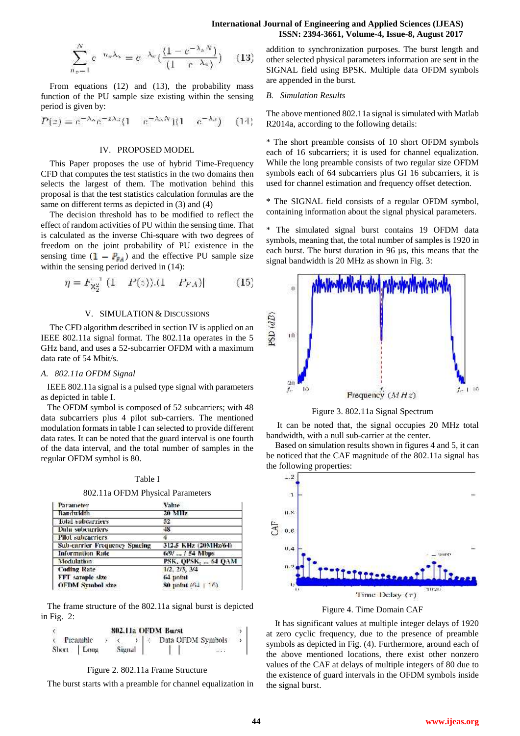#### **International Journal of Engineering and Applied Sciences (IJEAS) ISSN: 2394-3661, Volume-4, Issue-8, August 2017**

$$
\sum_{n_{\alpha}=1}^{N} e^{-n_{\alpha}\lambda_{\alpha}} = e^{-\lambda_{\alpha}} \left( \frac{(1 - e^{-\lambda_{\alpha}N})}{(1 - e^{-\lambda_{\alpha}})} \right) \quad (13)
$$

From equations (12) and (13), the probability mass function of the PU sample size existing within the sensing period is given by:

$$
P(z) = e^{-\lambda_{\alpha}} e^{-z\lambda_{\alpha}} (1 - e^{-\lambda_{\alpha} N}) (1 - e^{-\lambda_{\alpha}})
$$
 (14)

## IV. PROPOSED MODEL

This Paper proposes the use of hybrid Time-Frequency CFD that computes the test statistics in the two domains then selects the largest of them. The motivation behind this proposal is that the test statistics calculation formulas are the same on different terms as depicted in (3) and (4)

The decision threshold has to be modified to reflect the effect of random activities of PU within the sensing time. That is calculated as the inverse Chi-square with two degrees of freedom on the joint probability of PU existence in the sensing time  $(1 - P_{\text{F}_A})$  and the effective PU sample size within the sensing period derived in (14):

$$
\eta = F_{X_2^2}^{-1} (1 - P(s)). (1 - P_{FA})
$$
 (15)

#### V. SIMULATION & DISCUSSIONS

The CFD algorithm described in section IV is applied on an<br>EE 802.11a signal format. The 802.11a operates in the 5 IEEE 802.11a signal format. The 802.11a operates in the 5 GHz band, and uses a 52-subcarrier OFDM with a maximum data rate of 54 Mbit/s.

#### *A. 802.11a OFDM Signal*

IEEE 802.11a signal is a pulsed type signal with parameters as depicted in table I.

The OFDM symbol is composed of 52 subcarriers; with 48 data subcarriers plus 4 pilot sub-carriers. The mentioned modulation formats in table I can selected to provide different data rates. It can be noted that the guard interval is one fourth of the data interval, and the total number of samples in the regular OFDM symbol is 80.

| Parameter                            | Value                    |
|--------------------------------------|--------------------------|
| Bandwidth                            | 20 MHz                   |
| <b>Total subcarriers</b>             | 52.                      |
| <b>Dala subcarriers</b>              | 48                       |
| <b>Pilot</b> subcarriers             | 4                        |
| <b>Sub-carrier Frequency Spacing</b> | 312.5 KHz (20MHz/64)     |
| <b>Information Rate</b>              | $6/9/$ $\ldots/$ 54 Mbps |
| Modulation                           | PSK, OPSK.  64 OAM       |
| <b>Coding Rate</b>                   | $1/2$ , $2/3$ , $3/4$    |
| FFT sample size                      | 64 point                 |
| <b>OFDM Symbol size</b>              | 80 notat (64 + 16).      |

802.11a OFDM Physical Parameters

The frame structure of the 802.11a signal burst is depicted in Fig. 2:

| 802.11a OFDM Burst |  |            |  |        |  |                           |  |
|--------------------|--|------------|--|--------|--|---------------------------|--|
|                    |  | Preamble   |  |        |  | < >   < Data OFDM Symbols |  |
|                    |  | Short Long |  | Signal |  |                           |  |

#### Figure 2. 802.11a Frame Structure

The burst starts with a preamble for channel equalization in

addition to synchronization purposes. The burst length and other selected physical parameters information are sent in the SIGNAL field using BPSK. Multiple data OFDM symbols are appended in the burst.

#### *B. Simulation Results*

The above mentioned 802.11a signal is simulated with Matlab R2014a, according to the following details:

\* The short preamble consists of 10 short OFDM symbols each of 16 subcarriers; it is used for channel equalization. While the long preamble consists of two regular size OFDM symbols each of 64 subcarriers plus GI 16 subcarriers, it is used for channel estimation and frequency offset detection.

\* The SIGNAL field consists of a regular OFDM symbol, containing information about the signal physical parameters.

\* The simulated signal burst contains 19 OFDM data symbols, meaning that, the total number of samples is 1920 in each burst. The burst duration in 96 µs, this means that the signal bandwidth is 20 MHz as shown in Fig. 3:



Figure 3. 802.11a Signal Spectrum

It can be noted that, the signal occupies 20 MHz total bandwidth, with a null sub-carrier at the center.

Based on simulation results shown in figures 4 and 5, it can be noticed that the CAF magnitude of the 802.11a signal has the following properties:



Figure 4. Time Domain CAF

It has significant values at multiple integer delays of 1920 at zero cyclic frequency, due to the presence of preamble symbols as depicted in Fig. (4). Furthermore, around each of the above mentioned locations, there exist other nonzero values of the CAF at delays of multiple integers of 80 due to the existence of guard intervals in the OFDM symbols inside the signal burst.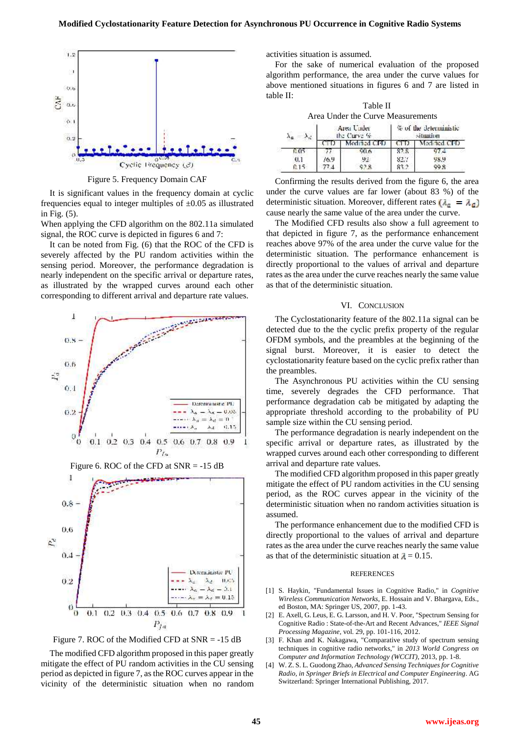

Figure 5. Frequency Domain CAF

It is significant values in the frequency domain at cyclic frequencies equal to integer multiples of  $\pm 0.05$  as illustrated in Fig. (5).

When applying the CFD algorithm on the 802.11a simulated signal, the ROC curve is depicted in figures 6 and 7:

It can be noted from Fig. (6) that the ROC of the CFD is severely affected by the PU random activities within the sensing period. Moreover, the performance degradation is nearly independent on the specific arrival or departure rates, as illustrated by the wrapped curves around each other corresponding to different arrival and departure rate values.





The modified CFD algorithm proposed in this paper greatly mitigate the effect of PU random activities in the CU sensing period as depicted in figure 7, asthe ROC curves appear in the vicinity of the deterministic situation when no random activities situation is assumed.

For the sake of numerical evaluation of the proposed algorithm performance, the area under the curve values for above mentioned situations in figures 6 and 7 are listed in table II:

| Table II                                |
|-----------------------------------------|
| Area Under the Curve Measurements       |
| We are a substantial and the first set- |

|     |      | Area Under<br>the Curve % | % of the deterministic<br>situation |              |  |
|-----|------|---------------------------|-------------------------------------|--------------|--|
|     |      | Modified CFD              |                                     | Modified CFD |  |
|     |      | <b>GO 6</b>               | 82 S                                | 14           |  |
| 0.1 | 16.9 | 92                        | 823                                 | 98.9         |  |
|     |      | 628                       |                                     | 99.8         |  |

Confirming the results derived from the figure 6, the area under the curve values are far lower (about 83 %) of the deterministic situation. Moreover, different rates  $(\lambda_a = \lambda_a)$ cause nearly the same value of the area under the curve.

The Modified CFD results also show a full agreement to that depicted in figure 7, as the performance enhancement reaches above 97% of the area under the curve value for the deterministic situation. The performance enhancement is directly proportional to the values of arrival and departure rates as the area under the curve reaches nearly the same value as that of the deterministic situation.

#### VI. CONCLUSION

The Cyclostationarity feature of the 802.11a signal can be detected due to the the cyclic prefix property of the regular OFDM symbols, and the preambles at the beginning of the signal burst. Moreover, it is easier to detect the cyclostationarity feature based on the cyclic prefix rather than the preambles.

The Asynchronous PU activities within the CU sensing time, severely degrades the CFD performance. That performance degradation cab be mitigated by adapting the appropriate threshold according to the probability of PU sample size within the CU sensing period.

The performance degradation is nearly independent on the specific arrival or departure rates, as illustrated by the wrapped curves around each other corresponding to different arrival and departure rate values.

The modified CFD algorithm proposed in this paper greatly mitigate the effect of PU random activities in the CU sensing period, as the ROC curves appear in the vicinity of the deterministic situation when no random activities situation is assumed.

The performance enhancement due to the modified CFD is directly proportional to the values of arrival and departure rates as the area under the curve reaches nearly the same value as that of the deterministic situation at  $\lambda = 0.15$ .

#### **REFERENCES**

- [1] S. Haykin, "Fundamental Issues in Cognitive Radio," in *Cognitive Wireless Communication Networks*, E. Hossain and V. Bhargava, Eds., ed Boston, MA: Springer US, 2007, pp. 1-43.
- [2] E. Axell, G. Leus, E. G. Larsson, and H. V. Poor, "Spectrum Sensing for Cognitive Radio : State-of-the-Art and Recent Advances," *IEEE Signal Processing Magazine,* vol. 29, pp. 101-116, 2012.
- [3] F. Khan and K. Nakagawa, "Comparative study of spectrum sensing techniques in cognitive radio networks," in *2013 World Congress on Computer and Information Technology (WCCIT)*, 2013, pp. 1-8.
- [4] W. Z. S. L. Guodong Zhao, *Advanced Sensing Techniques for Cognitive Radio, in Springer Briefs in Electrical and Computer Engineering*. AG Switzerland: Springer International Publishing, 2017.